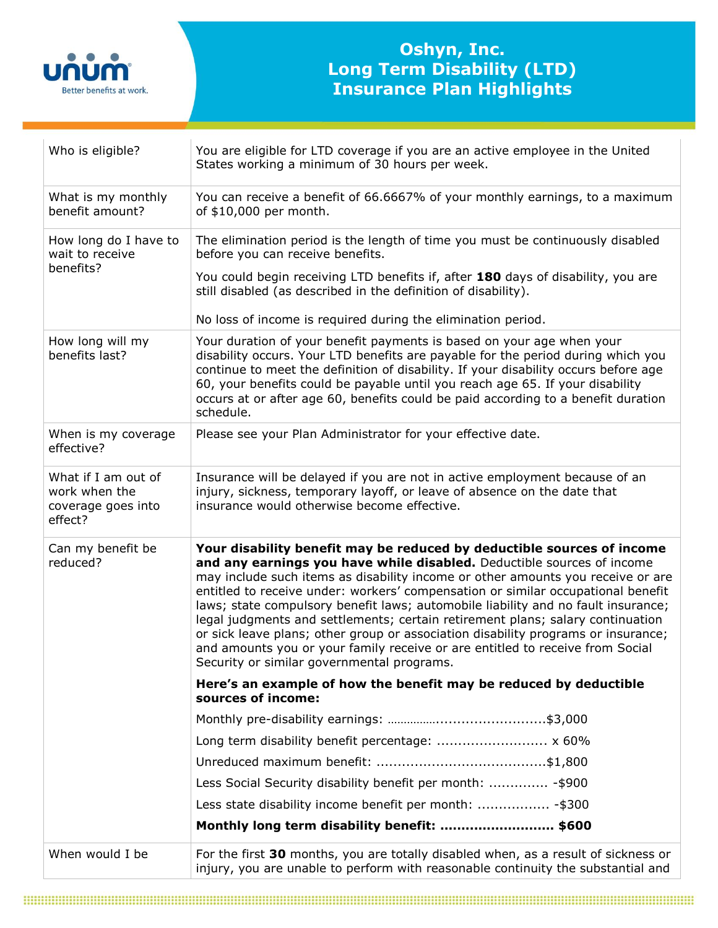

## **Oshyn, Inc. Long Term Disability (LTD) Insurance Plan Highlights**

| Who is eligible?                                                      | You are eligible for LTD coverage if you are an active employee in the United<br>States working a minimum of 30 hours per week.                                                                                                                                                                                                                                                                                                                                                                                                                                                                                                                                                                                    |
|-----------------------------------------------------------------------|--------------------------------------------------------------------------------------------------------------------------------------------------------------------------------------------------------------------------------------------------------------------------------------------------------------------------------------------------------------------------------------------------------------------------------------------------------------------------------------------------------------------------------------------------------------------------------------------------------------------------------------------------------------------------------------------------------------------|
| What is my monthly<br>benefit amount?                                 | You can receive a benefit of 66.6667% of your monthly earnings, to a maximum<br>of \$10,000 per month.                                                                                                                                                                                                                                                                                                                                                                                                                                                                                                                                                                                                             |
| How long do I have to<br>wait to receive<br>benefits?                 | The elimination period is the length of time you must be continuously disabled<br>before you can receive benefits.                                                                                                                                                                                                                                                                                                                                                                                                                                                                                                                                                                                                 |
|                                                                       | You could begin receiving LTD benefits if, after 180 days of disability, you are<br>still disabled (as described in the definition of disability).                                                                                                                                                                                                                                                                                                                                                                                                                                                                                                                                                                 |
|                                                                       | No loss of income is required during the elimination period.                                                                                                                                                                                                                                                                                                                                                                                                                                                                                                                                                                                                                                                       |
| How long will my<br>benefits last?                                    | Your duration of your benefit payments is based on your age when your<br>disability occurs. Your LTD benefits are payable for the period during which you<br>continue to meet the definition of disability. If your disability occurs before age<br>60, your benefits could be payable until you reach age 65. If your disability<br>occurs at or after age 60, benefits could be paid according to a benefit duration<br>schedule.                                                                                                                                                                                                                                                                                |
| When is my coverage<br>effective?                                     | Please see your Plan Administrator for your effective date.                                                                                                                                                                                                                                                                                                                                                                                                                                                                                                                                                                                                                                                        |
| What if I am out of<br>work when the<br>coverage goes into<br>effect? | Insurance will be delayed if you are not in active employment because of an<br>injury, sickness, temporary layoff, or leave of absence on the date that<br>insurance would otherwise become effective.                                                                                                                                                                                                                                                                                                                                                                                                                                                                                                             |
| Can my benefit be<br>reduced?                                         | Your disability benefit may be reduced by deductible sources of income<br>and any earnings you have while disabled. Deductible sources of income<br>may include such items as disability income or other amounts you receive or are<br>entitled to receive under: workers' compensation or similar occupational benefit<br>laws; state compulsory benefit laws; automobile liability and no fault insurance;<br>legal judgments and settlements; certain retirement plans; salary continuation<br>or sick leave plans; other group or association disability programs or insurance;<br>and amounts you or your family receive or are entitled to receive from Social<br>Security or similar governmental programs. |
|                                                                       | Here's an example of how the benefit may be reduced by deductible<br>sources of income:                                                                                                                                                                                                                                                                                                                                                                                                                                                                                                                                                                                                                            |
|                                                                       |                                                                                                                                                                                                                                                                                                                                                                                                                                                                                                                                                                                                                                                                                                                    |
|                                                                       | Long term disability benefit percentage:  x 60%                                                                                                                                                                                                                                                                                                                                                                                                                                                                                                                                                                                                                                                                    |
|                                                                       |                                                                                                                                                                                                                                                                                                                                                                                                                                                                                                                                                                                                                                                                                                                    |
|                                                                       | Less Social Security disability benefit per month:  - \$900                                                                                                                                                                                                                                                                                                                                                                                                                                                                                                                                                                                                                                                        |
|                                                                       |                                                                                                                                                                                                                                                                                                                                                                                                                                                                                                                                                                                                                                                                                                                    |
|                                                                       | Monthly long term disability benefit:  \$600                                                                                                                                                                                                                                                                                                                                                                                                                                                                                                                                                                                                                                                                       |
| When would I be                                                       | For the first 30 months, you are totally disabled when, as a result of sickness or<br>injury, you are unable to perform with reasonable continuity the substantial and                                                                                                                                                                                                                                                                                                                                                                                                                                                                                                                                             |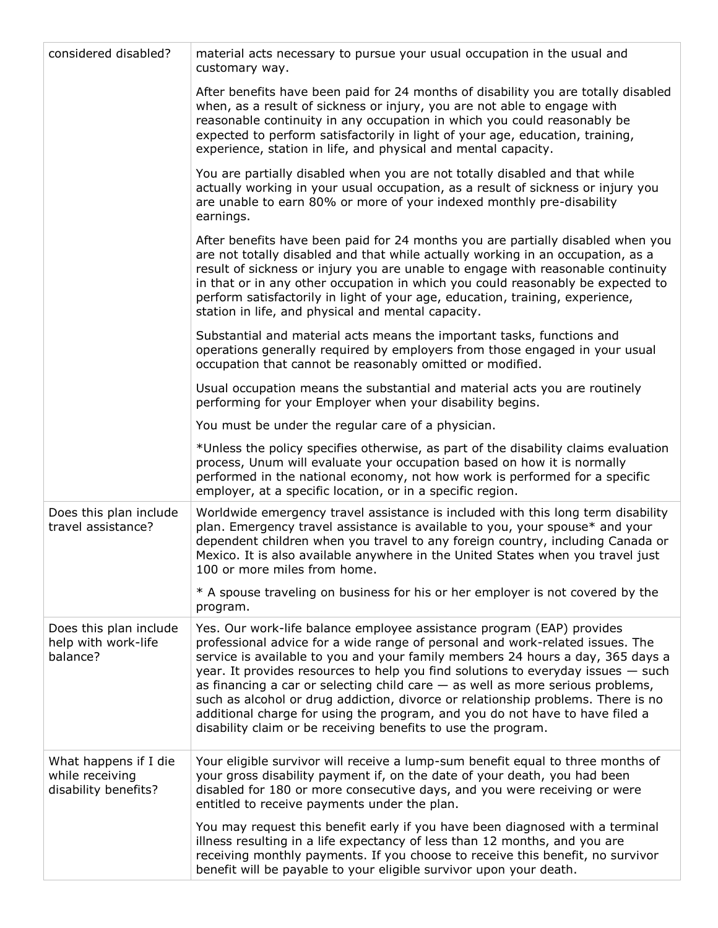| considered disabled?                                             | material acts necessary to pursue your usual occupation in the usual and<br>customary way.                                                                                                                                                                                                                                                                                                                                                                                                                                                                                                                                                              |
|------------------------------------------------------------------|---------------------------------------------------------------------------------------------------------------------------------------------------------------------------------------------------------------------------------------------------------------------------------------------------------------------------------------------------------------------------------------------------------------------------------------------------------------------------------------------------------------------------------------------------------------------------------------------------------------------------------------------------------|
|                                                                  | After benefits have been paid for 24 months of disability you are totally disabled<br>when, as a result of sickness or injury, you are not able to engage with<br>reasonable continuity in any occupation in which you could reasonably be<br>expected to perform satisfactorily in light of your age, education, training,<br>experience, station in life, and physical and mental capacity.                                                                                                                                                                                                                                                           |
|                                                                  | You are partially disabled when you are not totally disabled and that while<br>actually working in your usual occupation, as a result of sickness or injury you<br>are unable to earn 80% or more of your indexed monthly pre-disability<br>earnings.                                                                                                                                                                                                                                                                                                                                                                                                   |
|                                                                  | After benefits have been paid for 24 months you are partially disabled when you<br>are not totally disabled and that while actually working in an occupation, as a<br>result of sickness or injury you are unable to engage with reasonable continuity<br>in that or in any other occupation in which you could reasonably be expected to<br>perform satisfactorily in light of your age, education, training, experience,<br>station in life, and physical and mental capacity.                                                                                                                                                                        |
|                                                                  | Substantial and material acts means the important tasks, functions and<br>operations generally required by employers from those engaged in your usual<br>occupation that cannot be reasonably omitted or modified.                                                                                                                                                                                                                                                                                                                                                                                                                                      |
|                                                                  | Usual occupation means the substantial and material acts you are routinely<br>performing for your Employer when your disability begins.                                                                                                                                                                                                                                                                                                                                                                                                                                                                                                                 |
|                                                                  | You must be under the regular care of a physician.                                                                                                                                                                                                                                                                                                                                                                                                                                                                                                                                                                                                      |
|                                                                  | *Unless the policy specifies otherwise, as part of the disability claims evaluation<br>process, Unum will evaluate your occupation based on how it is normally<br>performed in the national economy, not how work is performed for a specific<br>employer, at a specific location, or in a specific region.                                                                                                                                                                                                                                                                                                                                             |
| Does this plan include<br>travel assistance?                     | Worldwide emergency travel assistance is included with this long term disability<br>plan. Emergency travel assistance is available to you, your spouse* and your<br>dependent children when you travel to any foreign country, including Canada or<br>Mexico. It is also available anywhere in the United States when you travel just<br>100 or more miles from home.                                                                                                                                                                                                                                                                                   |
|                                                                  | * A spouse traveling on business for his or her employer is not covered by the<br>program.                                                                                                                                                                                                                                                                                                                                                                                                                                                                                                                                                              |
| Does this plan include<br>help with work-life<br>balance?        | Yes. Our work-life balance employee assistance program (EAP) provides<br>professional advice for a wide range of personal and work-related issues. The<br>service is available to you and your family members 24 hours a day, 365 days a<br>year. It provides resources to help you find solutions to everyday issues $-$ such<br>as financing a car or selecting child care $-$ as well as more serious problems,<br>such as alcohol or drug addiction, divorce or relationship problems. There is no<br>additional charge for using the program, and you do not have to have filed a<br>disability claim or be receiving benefits to use the program. |
| What happens if I die<br>while receiving<br>disability benefits? | Your eligible survivor will receive a lump-sum benefit equal to three months of<br>your gross disability payment if, on the date of your death, you had been<br>disabled for 180 or more consecutive days, and you were receiving or were<br>entitled to receive payments under the plan.                                                                                                                                                                                                                                                                                                                                                               |
|                                                                  | You may request this benefit early if you have been diagnosed with a terminal<br>illness resulting in a life expectancy of less than 12 months, and you are<br>receiving monthly payments. If you choose to receive this benefit, no survivor<br>benefit will be payable to your eligible survivor upon your death.                                                                                                                                                                                                                                                                                                                                     |